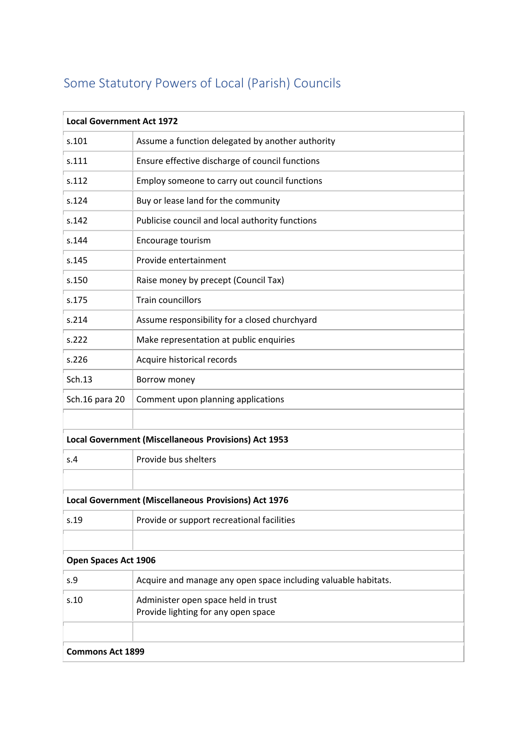## Some Statutory Powers of Local (Parish) Councils

| <b>Local Government Act 1972</b>                     |                                                                |  |
|------------------------------------------------------|----------------------------------------------------------------|--|
| s.101                                                | Assume a function delegated by another authority               |  |
| s.111                                                | Ensure effective discharge of council functions                |  |
| s.112                                                | Employ someone to carry out council functions                  |  |
| s.124                                                | Buy or lease land for the community                            |  |
| s.142                                                | Publicise council and local authority functions                |  |
| s.144                                                | Encourage tourism                                              |  |
| s.145                                                | Provide entertainment                                          |  |
| s.150                                                | Raise money by precept (Council Tax)                           |  |
| s.175                                                | <b>Train councillors</b>                                       |  |
| s.214                                                | Assume responsibility for a closed churchyard                  |  |
| s.222                                                | Make representation at public enquiries                        |  |
| s.226                                                | Acquire historical records                                     |  |
| Sch.13                                               | Borrow money                                                   |  |
| Sch.16 para 20                                       | Comment upon planning applications                             |  |
|                                                      |                                                                |  |
| Local Government (Miscellaneous Provisions) Act 1953 |                                                                |  |
| S.4                                                  | Provide bus shelters                                           |  |
|                                                      |                                                                |  |
| Local Government (Miscellaneous Provisions) Act 1976 |                                                                |  |
| s.19                                                 | Provide or support recreational facilities                     |  |
|                                                      |                                                                |  |
| Open Spaces Act 1906                                 |                                                                |  |
| s.9                                                  | Acquire and manage any open space including valuable habitats. |  |
| s.10                                                 | Administer open space held in trust                            |  |
|                                                      | Provide lighting for any open space                            |  |
|                                                      |                                                                |  |
| <b>Commons Act 1899</b>                              |                                                                |  |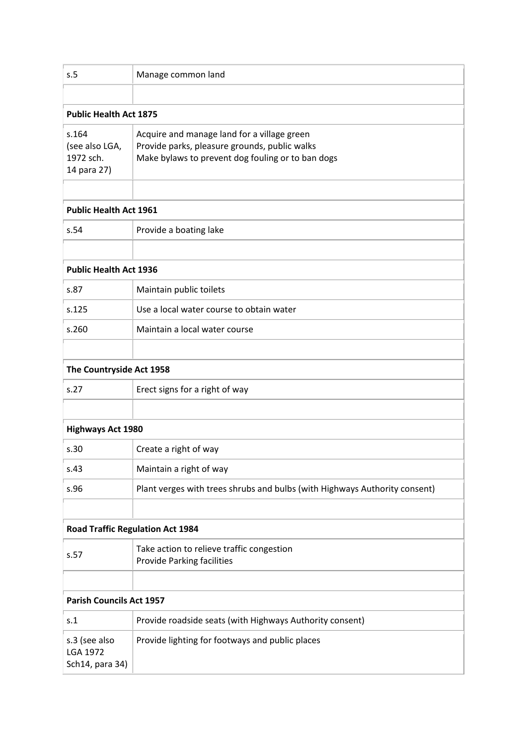| s.5                                                 | Manage common land                                                                                                                                |  |
|-----------------------------------------------------|---------------------------------------------------------------------------------------------------------------------------------------------------|--|
|                                                     |                                                                                                                                                   |  |
| <b>Public Health Act 1875</b>                       |                                                                                                                                                   |  |
| s.164<br>(see also LGA,<br>1972 sch.<br>14 para 27) | Acquire and manage land for a village green<br>Provide parks, pleasure grounds, public walks<br>Make bylaws to prevent dog fouling or to ban dogs |  |
| <b>Public Health Act 1961</b>                       |                                                                                                                                                   |  |
| s.54                                                | Provide a boating lake                                                                                                                            |  |
|                                                     |                                                                                                                                                   |  |
| <b>Public Health Act 1936</b>                       |                                                                                                                                                   |  |
| s.87                                                | Maintain public toilets                                                                                                                           |  |
| s.125                                               | Use a local water course to obtain water                                                                                                          |  |
| s.260                                               | Maintain a local water course                                                                                                                     |  |
|                                                     |                                                                                                                                                   |  |
| The Countryside Act 1958                            |                                                                                                                                                   |  |
| s.27                                                | Erect signs for a right of way                                                                                                                    |  |
|                                                     |                                                                                                                                                   |  |
| <b>Highways Act 1980</b>                            |                                                                                                                                                   |  |
| s.30                                                | Create a right of way                                                                                                                             |  |
| s.43                                                | Maintain a right of way                                                                                                                           |  |
| s.96                                                | Plant verges with trees shrubs and bulbs (with Highways Authority consent)                                                                        |  |
|                                                     |                                                                                                                                                   |  |
| <b>Road Traffic Regulation Act 1984</b>             |                                                                                                                                                   |  |
| s.57                                                | Take action to relieve traffic congestion<br><b>Provide Parking facilities</b>                                                                    |  |
|                                                     |                                                                                                                                                   |  |
| <b>Parish Councils Act 1957</b>                     |                                                                                                                                                   |  |
| S.1                                                 | Provide roadside seats (with Highways Authority consent)                                                                                          |  |
| s.3 (see also<br><b>LGA 1972</b><br>Sch14, para 34) | Provide lighting for footways and public places                                                                                                   |  |